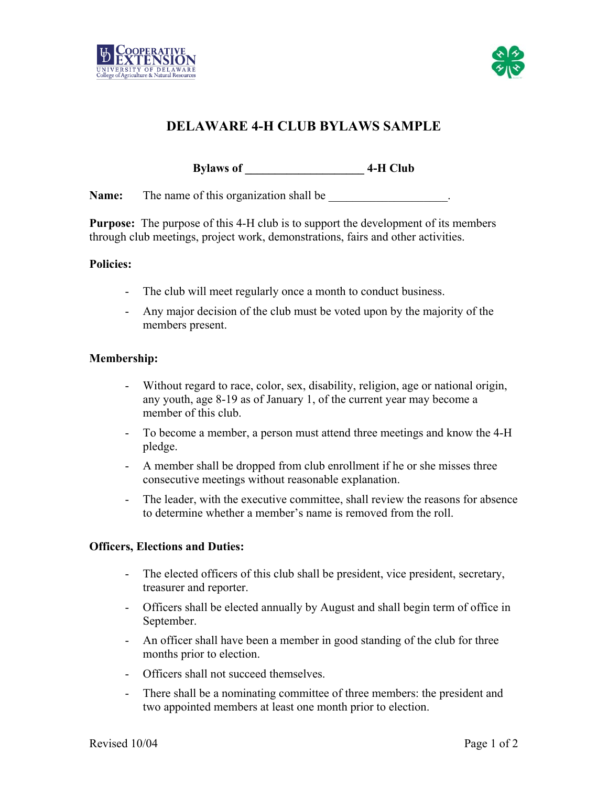



# **DELAWARE 4-H CLUB BYLAWS SAMPLE**

**Bylaws of \_\_\_\_\_\_\_\_\_\_\_\_\_\_\_\_\_\_\_\_ 4-H Club** 

**Name:** The name of this organization shall be

**Purpose:** The purpose of this 4-H club is to support the development of its members through club meetings, project work, demonstrations, fairs and other activities.

#### **Policies:**

- The club will meet regularly once a month to conduct business.
- Any major decision of the club must be voted upon by the majority of the members present.

#### **Membership:**

- Without regard to race, color, sex, disability, religion, age or national origin, any youth, age 8-19 as of January 1, of the current year may become a member of this club.
- To become a member, a person must attend three meetings and know the 4-H pledge.
- A member shall be dropped from club enrollment if he or she misses three consecutive meetings without reasonable explanation.
- The leader, with the executive committee, shall review the reasons for absence to determine whether a member's name is removed from the roll.

#### **Officers, Elections and Duties:**

- The elected officers of this club shall be president, vice president, secretary, treasurer and reporter.
- Officers shall be elected annually by August and shall begin term of office in September.
- An officer shall have been a member in good standing of the club for three months prior to election.
- Officers shall not succeed themselves.
- There shall be a nominating committee of three members: the president and two appointed members at least one month prior to election.